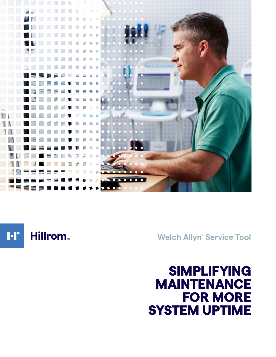

Hillrom<sub>w</sub> **I**·I'

**Welch Allyn® Service Tool**

# SIMPLIFYING MAINTENANCE FOR MORE SYSTEM UPTIME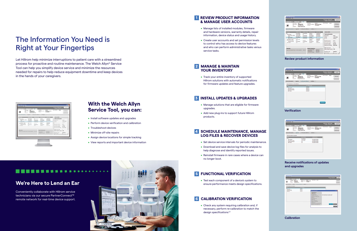# The Information You Need is Right at Your Fingertips

Let Hillrom help minimize interruptions to patient care with a streamlined process for proactive and routine maintenance. The Welch Allyn® Service Tool can help you simplify device service and minimize the resources needed for repairs to help reduce equipment downtime and keep devices in the hands of your caregivers.



# **With the Welch Allyn Service Tool, you can:**

- Install software updates and upgrades
- Perform device verification and calibration
- Troubleshoot devices
- Minimize off-site repairs
- Assign device locations for simple tracking
- View reports and important device information

### **1 REVIEW PRODUCT INFORMATION & MANAGE USER ACCOUNTS**

### **4 SCHEDULE MAINTENANCE, MANAGE LOG FILES & RECOVER DEVICES**

- Set device service intervals for periodic maintenance.
- Download and save device log files for analysis to help diagnose and identify reported issues.
- Reinstall firmware in rare cases where a device can no longer boot.

## **5 FUNCTIONAL VERIFICATION**

• Check any system requiring calibration and, if necessary, perform re-calibration to match the design specifications<sup>1,2</sup>

### **2 MANAGE & MAINTAIN YOUR INVENTORY**

• Track your entire inventory of supported Hillrom solutions with automatic notifications for firmware updates and feature upgrades.

• Test each component of a device's system to ensure performance meets design specifications.

## **6 CALIBRATION VERIFICATION**

- Manage lists of installed modules, firmware and hardware versions, warranty details, repair information, device status and usage history.
- Create user accounts and set permission levels to control who has access to device features and who can perform administrative tasks versus service tasks.

### **3 INSTALL UPDATES & UPGRADES**

- Manage solutions that are eligible for firmware upgrades.
- Add new plug-ins to support future Hillrom products.

# **We're Here to Lend an Ear**

-----

Conveniently collaborate with Hillrom service technicians via our secure PartnerConnect™ remote network for real-time device support.



| la Ammendan bata<br>Save 1170<br>Device name<br>Sanal number                                                                  | <b>BUYER STATE</b><br>-<br>10040040471184                                | <b>PROF</b> X                                                            | St andreas<br><b>Eifurnahme, address</b>                                                       | <b>BARA</b><br>00 SALFASFIAC 00                                                               | Writings, Writin After<br><b>Tuesday, Alcostability 12, 81</b><br>Auto 37 science<br>5888                             | Log off<br><b>Versitag</b>                                                |
|-------------------------------------------------------------------------------------------------------------------------------|--------------------------------------------------------------------------|--------------------------------------------------------------------------|------------------------------------------------------------------------------------------------|-----------------------------------------------------------------------------------------------|-----------------------------------------------------------------------------------------------------------------------|---------------------------------------------------------------------------|
| $\frac{1}{2}$<br>Louisville (B)<br>Dealer information 1                                                                       | <b>VIA 4000 Sales</b><br><b>Route L'Aureux Cent</b>                      |                                                                          | Anael Tog<br>Hagenda Verify and calibrate [ Cooffigure ]                                       | 433444440                                                                                     |                                                                                                                       | <b>Junchronor</b>                                                         |
| <b>TECHNOLOGY</b><br><b>CORP.</b><br>Hart-Tacheller                                                                           | <b>CONTRACTOR</b> IN A STATISTICS.<br>fait application<br>L.M. (A) CROAT | <b>NE AURURA</b><br>٠                                                    | and the probability of the first bank postery<br>assess.<br>2010/04/14                         | Listenstein City<br>ASSISTENCE                                                                | <b>Bulliony MARKO</b><br><b>Bathery indurmation</b>                                                                   |                                                                           |
| Deluxe Carrotta, Maskins<br><b>Books</b><br><b>Kellery</b> Sakered                                                            | LAURANTE<br><b>PER-CREATION</b><br><b>But Book and</b>                   | <b>Not Auctionity</b><br><b>Not Auctionity</b><br><b>Tell Audioption</b> | <b>Not Anistration</b><br><b>Red Anchority</b><br><b>Joseph Diego</b>                          | <b>And Analyzing</b><br><b>Rod Atachuating</b>                                                | Tensorature<br>Village                                                                                                | 71.41<br><b>EL MIG Guila</b>                                              |
| Reflectation better times 4.1.8<br>kell Roble / Nature<br><b>SunTanz Puz Holde</b><br>Tangarches Robe<br><b>VISIT High-in</b> | LALIL WA<br>1.40<br><b>Not Aucknation</b><br>3.39                        | <b>But Anchestrie</b><br>NOT MT<br><b>Sci Anchulti</b><br>Apr 5          | <b>NA Aminatio</b><br>prom/Chi-<br><b>JIMPGE-</b><br>Tell Anchratis<br>payon-                  | <b>Not Auctionitie</b><br>EDENTHER<br><b><i>ADMINISTRAT</i></b><br>an man<br><b>RESERVANS</b> | <b>Galak</b><br><b>Retailing capacity</b><br>Auto charge capacity.<br>Aug. Sina is amply<br>Aug. time to full charge  | 04/08/14<br><b>SFTC</b><br>1,000.00<br>395-MM<br><b><i>US\$35 min</i></b> |
| Warranty<br>Approximate original factory exercisity expression - 20x2 lists                                                   |                                                                          |                                                                          | <b>Report Information</b><br>List catalogues days<br><b>Rafformat by</b><br>California das des | <b>JELOVIN LT</b><br><b>Holt Alba</b><br>2011/06/17                                           | <b>Baltists cycle insure</b><br>Saltery designed capacity<br><b>Warn Fachure Calls</b><br><b>Service and can</b><br>ĸ | 4.66<br>3006.00L<br>m.<br>$\sim$                                          |

**Review product information**

| Device List on                                                               | <b>BOOKER</b><br><b>Basic sans</b><br>Serial number<br>$\sim$<br>Leader III | PMP =<br><b>PROD</b><br>120900-00985.1-86<br><b>SIVE 6000 Sonica</b><br><b>Product foreign Cost</b> | <b>IF will have</b><br><b><i>Uharran Wall address</i></b><br><b><i>Read Text</i></b> | \$8.58<br>AN LA EX ET AT AN<br><b>KLINNING</b> | Auto IP and/enter<br>,,,,,, | 6888 | View Log-<br><b>Barahoune</b> |
|------------------------------------------------------------------------------|-----------------------------------------------------------------------------|-----------------------------------------------------------------------------------------------------|--------------------------------------------------------------------------------------|------------------------------------------------|-----------------------------|------|-------------------------------|
|                                                                              |                                                                             | Books Information   Higgaste   Institute Life Configure                                             |                                                                                      |                                                |                             |      |                               |
| 2000                                                                         | Select the device to verify/colleger                                        |                                                                                                     | <b><i><u>Defense of the Contractor Contractor</u></i></b>                            |                                                |                             |      |                               |
| mar<br><b>PAIN CARDINAL</b>                                                  |                                                                             |                                                                                                     | <b>SECURE 17</b><br>ARCHIMA'S?                                                       |                                                |                             |      |                               |
| <b>Boltimeter-Netter</b><br><b>Burghams Plus Mediute</b><br><b>NEW YORAN</b> |                                                                             |                                                                                                     | <b>SHOW FAVOL</b><br><b>DEGANGS</b><br>(Include/LT                                   |                                                |                             |      |                               |
|                                                                              |                                                                             |                                                                                                     |                                                                                      |                                                |                             |      |                               |
|                                                                              |                                                                             |                                                                                                     |                                                                                      |                                                |                             |      |                               |
|                                                                              |                                                                             |                                                                                                     |                                                                                      |                                                |                             |      |                               |
|                                                                              |                                                                             |                                                                                                     |                                                                                      |                                                |                             |      |                               |

### **Receive notifications of updates and upgrades**

| tehnikanska   Harak   Indonesian   Indones  <br><b>Section Section Confidence</b><br><b>CONTROL</b>                                                             |                                                                                                                                                                                                                                                                                                                                                                                                   |                                                |
|-----------------------------------------------------------------------------------------------------------------------------------------------------------------|---------------------------------------------------------------------------------------------------------------------------------------------------------------------------------------------------------------------------------------------------------------------------------------------------------------------------------------------------------------------------------------------------|------------------------------------------------|
|                                                                                                                                                                 |                                                                                                                                                                                                                                                                                                                                                                                                   |                                                |
| $\frac{1}{2}$<br><b>ALCOHOL:</b><br><b>SAR GATIVIA</b><br>sen lat.a. sma<br><b>JANES</b><br>pointed.<br><b>UNITED RATIONS</b><br><b>GROSS</b><br><b>AMERICA</b> | <b>Estuariation IN</b>                                                                                                                                                                                                                                                                                                                                                                            |                                                |
|                                                                                                                                                                 | <b>I listuative Trees</b><br><b><i><u>Publisher South</u></i></b><br>FILST Market food<br>After Dist Lincoln a hol-<br>It has become the fact into<br><b>RAMCHAEL</b><br><b>REAL ENGINEERING</b><br><b>Distances</b> Sales<br><b>Billiance call inter text</b><br><b>Makes Ameler Inc.</b><br><b>President Edit</b><br>We'll had pell to researcher auf.<br><b><i>SERVICE CONSULTANCE SAT</i></b> | Die Vie große unter a paragie nannt?<br>$\sim$ |

### **Verification**

| <b>Byzanting</b>                                           | <b>BUYER STORE</b>         | <b>PHP</b> H                                           |                                                                 |                                             | McGrane, McGritter | Tuesday 2014/06/12 13:39 | Log off                     |
|------------------------------------------------------------|----------------------------|--------------------------------------------------------|-----------------------------------------------------------------|---------------------------------------------|--------------------|--------------------------|-----------------------------|
| Director-hamed<br>Send market<br><b>BOX</b><br>Laurence 23 | <b>FMS</b><br>100000001109 | <b>VIDA 4004 Series</b><br><b>Frederit Benden Card</b> | 27 actionals<br><b>Division Wall address</b><br><b>Rend Vag</b> | 9444<br><b>BEAMSTROM</b><br>4524404965      | Audio SF address   | 4848                     | <b>STREET</b><br>Synderates |
| Dealer Information   Hospitale                             |                            | Worldy and culturate Configure                         |                                                                 |                                             |                    |                          |                             |
| telect the automotive apprale.                             |                            |                                                        |                                                                 |                                             |                    |                          |                             |
| ۰                                                          |                            | <b>STATISTICS</b>                                      | <b>STATISTICS</b>                                               |                                             |                    |                          |                             |
| $-$<br>404 Carmelan                                        |                            | No trainate<br>LOCAL CANAL                             |                                                                 | <b>Re-Layade Avenue</b>                     |                    |                          |                             |
| Galile Healths - Nation                                    |                            | LAS 24 WAL                                             |                                                                 | <b>No capala Austata</b>                    |                    |                          |                             |
| <b>Scotlane Rochtsche</b><br><b>WAFIRMAN</b>               |                            | tute.<br>1.46                                          |                                                                 | No laspeda Auristia<br><b>Relayab Avida</b> |                    |                          |                             |
|                                                            |                            |                                                        |                                                                 |                                             |                    |                          |                             |
|                                                            |                            |                                                        |                                                                 |                                             |                    |                          |                             |

### **Calibration**